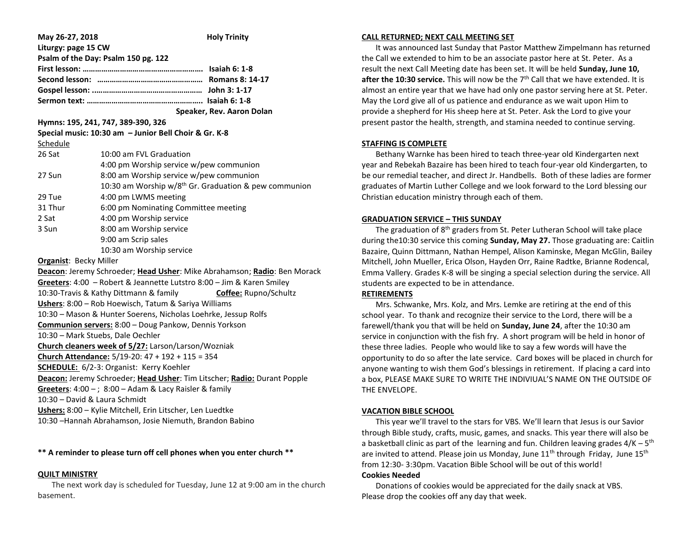| May 26-27, 2018                                                          | <b>Holy Trinity</b>                                                      |
|--------------------------------------------------------------------------|--------------------------------------------------------------------------|
| Liturgy: page 15 CW                                                      |                                                                          |
|                                                                          | Psalm of the Day: Psalm 150 pg. 122                                      |
|                                                                          |                                                                          |
|                                                                          |                                                                          |
|                                                                          |                                                                          |
|                                                                          |                                                                          |
|                                                                          | Speaker, Rev. Aaron Dolan                                                |
|                                                                          | Hymns: 195, 241, 747, 389-390, 326                                       |
|                                                                          | Special music: 10:30 am - Junior Bell Choir & Gr. K-8                    |
| Schedule                                                                 |                                                                          |
| 26 Sat                                                                   | 10:00 am FVL Graduation                                                  |
|                                                                          | 4:00 pm Worship service w/pew communion                                  |
| 27 Sun                                                                   | 8:00 am Worship service w/pew communion                                  |
|                                                                          | 10:30 am Worship w/8 <sup>th</sup> Gr. Graduation & pew communion        |
| 29 Tue                                                                   | 4:00 pm LWMS meeting                                                     |
| 31 Thur                                                                  | 6:00 pm Nominating Committee meeting                                     |
| 2 Sat                                                                    | 4:00 pm Worship service                                                  |
| 3 Sun                                                                    | 8:00 am Worship service                                                  |
|                                                                          | 9:00 am Scrip sales                                                      |
|                                                                          | 10:30 am Worship service                                                 |
| <b>Organist: Becky Miller</b>                                            |                                                                          |
|                                                                          | Deacon: Jeremy Schroeder; Head Usher: Mike Abrahamson; Radio: Ben Morack |
|                                                                          | Greeters: 4:00 - Robert & Jeannette Lutstro 8:00 - Jim & Karen Smiley    |
| 10:30-Travis & Kathy Dittmann & family<br>Coffee: Rupno/Schultz          |                                                                          |
| Ushers: 8:00 - Rob Hoewisch, Tatum & Sariya Williams                     |                                                                          |
| 10:30 - Mason & Hunter Soerens, Nicholas Loehrke, Jessup Rolfs           |                                                                          |
|                                                                          | Communion servers: 8:00 - Doug Pankow, Dennis Yorkson                    |
|                                                                          | 10:30 - Mark Stuebs, Dale Oechler                                        |
|                                                                          | Church cleaners week of 5/27: Larson/Larson/Wozniak                      |
| Church Attendance: $5/19-20$ : $47 + 192 + 115 = 354$                    |                                                                          |
| SCHEDULE: 6/2-3: Organist: Kerry Koehler                                 |                                                                          |
| Deacon: Jeremy Schroeder; Head Usher: Tim Litscher; Radio: Durant Popple |                                                                          |

**Greeters**: 4:00 – ; 8:00 – Adam & Lacy Raisler & family 10:30 – David & Laura Schmidt

**Ushers:** 8:00 – Kylie Mitchell, Erin Litscher, Len Luedtke

10:30 –Hannah Abrahamson, Josie Niemuth, Brandon Babino

# **\*\* A reminder to please turn off cell phones when you enter church \*\***

### **QUILT MINISTRY**

 The next work day is scheduled for Tuesday, June 12 at 9:00 am in the church basement.

### **CALL RETURNED; NEXT CALL MEETING SET**

 It was announced last Sunday that Pastor Matthew Zimpelmann has returned the Call we extended to him to be an associate pastor here at St. Peter. As a result the next Call Meeting date has been set. It will be held **Sunday, June 10, after the 10:30 service.** This will now be the 7<sup>th</sup> Call that we have extended. It is almost an entire year that we have had only one pastor serving here at St. Peter. May the Lord give all of us patience and endurance as we wait upon Him to provide a shepherd for His sheep here at St. Peter. Ask the Lord to give your present pastor the health, strength, and stamina needed to continue serving.

# **STAFFING IS COMPLETE**

 Bethany Warnke has been hired to teach three-year old Kindergarten next year and Rebekah Bazaire has been hired to teach four-year old Kindergarten, to be our remedial teacher, and direct Jr. Handbells. Both of these ladies are former graduates of Martin Luther College and we look forward to the Lord blessing our Christian education ministry through each of them.

# **GRADUATION SERVICE – THIS SUNDAY**

The graduation of  $8<sup>th</sup>$  graders from St. Peter Lutheran School will take place during the10:30 service this coming **Sunday, May 27.** Those graduating are: Caitlin Bazaire, Quinn Dittmann, Nathan Hempel, Alison Kaminske, Megan McGlin, Bailey Mitchell, John Mueller, Erica Olson, Hayden Orr, Raine Radtke, Brianne Rodencal, Emma Vallery. Grades K-8 will be singing a special selection during the service. All students are expected to be in attendance.

## **RETIREMENTS**

 Mrs. Schwanke, Mrs. Kolz, and Mrs. Lemke are retiring at the end of this school year. To thank and recognize their service to the Lord, there will be a farewell/thank you that will be held on **Sunday, June 24**, after the 10:30 am service in conjunction with the fish fry. A short program will be held in honor of these three ladies. People who would like to say a few words will have the opportunity to do so after the late service. Card boxes will be placed in church for anyone wanting to wish them God's blessings in retirement. If placing a card into a box, PLEASE MAKE SURE TO WRITE THE INDIVIUAL'S NAME ON THE OUTSIDE OF THE ENVELOPE.

## **VACATION BIBLE SCHOOL**

 This year we'll travel to the stars for VBS. We'll learn that Jesus is our Savior through Bible study, crafts, music, games, and snacks. This year there will also be a basketball clinic as part of the learning and fun. Children leaving grades 4/K – 5<sup>th</sup> are invited to attend. Please join us Monday, June  $11<sup>th</sup>$  through Friday, June  $15<sup>th</sup>$ from 12:30- 3:30pm. Vacation Bible School will be out of this world!

## **Cookies Needed**

 Donations of cookies would be appreciated for the daily snack at VBS. Please drop the cookies off any day that week.